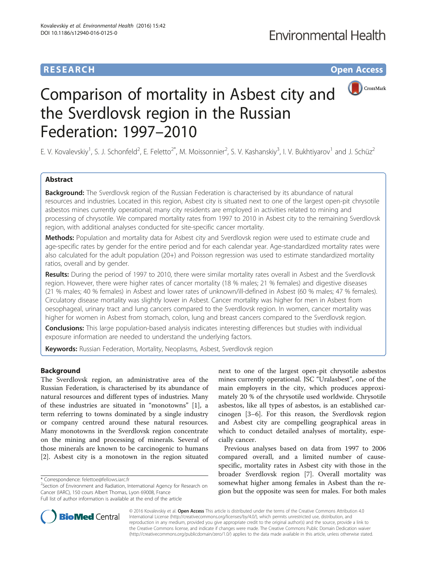# **RESEARCH RESEARCH** *CHECKER CHECKER CHECKER CHECKER CHECKER CHECKER CHECKER CHECKER CHECKER CHECKER CHECKER*



# Comparison of mortality in Asbest city and the Sverdlovsk region in the Russian Federation: 1997–2010

E. V. Kovalevskiy<sup>1</sup>, S. J. Schonfeld<sup>2</sup>, E. Feletto<sup>2\*</sup>, M. Moissonnier<sup>2</sup>, S. V. Kashanskiy<sup>3</sup>, I. V. Bukhtiyarov<sup>1</sup> and J. Schüz<sup>2</sup>

## Abstract

**Background:** The Sverdlovsk region of the Russian Federation is characterised by its abundance of natural resources and industries. Located in this region, Asbest city is situated next to one of the largest open-pit chrysotile asbestos mines currently operational; many city residents are employed in activities related to mining and processing of chrysotile. We compared mortality rates from 1997 to 2010 in Asbest city to the remaining Sverdlovsk region, with additional analyses conducted for site-specific cancer mortality.

Methods: Population and mortality data for Asbest city and Sverdlovsk region were used to estimate crude and age-specific rates by gender for the entire period and for each calendar year. Age-standardized mortality rates were also calculated for the adult population (20+) and Poisson regression was used to estimate standardized mortality ratios, overall and by gender.

Results: During the period of 1997 to 2010, there were similar mortality rates overall in Asbest and the Sverdlovsk region. However, there were higher rates of cancer mortality (18 % males; 21 % females) and digestive diseases (21 % males; 40 % females) in Asbest and lower rates of unknown/ill-defined in Asbest (60 % males; 47 % females). Circulatory disease mortality was slightly lower in Asbest. Cancer mortality was higher for men in Asbest from oesophageal, urinary tract and lung cancers compared to the Sverdlovsk region. In women, cancer mortality was higher for women in Asbest from stomach, colon, lung and breast cancers compared to the Sverdlovsk region.

Conclusions: This large population-based analysis indicates interesting differences but studies with individual exposure information are needed to understand the underlying factors.

**Keywords:** Russian Federation, Mortality, Neoplasms, Asbest, Sverdlovsk region

## Background

The Sverdlovsk region, an administrative area of the Russian Federation, is characterised by its abundance of natural resources and different types of industries. Many of these industries are situated in "monotowns" [[1\]](#page-6-0), a term referring to towns dominated by a single industry or company centred around these natural resources. Many monotowns in the Sverdlovsk region concentrate on the mining and processing of minerals. Several of those minerals are known to be carcinogenic to humans [[2\]](#page-6-0). Asbest city is a monotown in the region situated

\* Correspondence: [felettoe@fellows.iarc.fr](mailto:felettoe@fellows.iarc.fr) <sup>2</sup>

 $2$ Section of Environment and Radiation, International Agency for Research on Cancer (IARC), 150 cours Albert Thomas, Lyon 69008, France Full list of author information is available at the end of the article

next to one of the largest open-pit chrysotile asbestos mines currently operational. JSC "Uralasbest", one of the main employers in the city, which produces approximately 20 % of the chrysotile used worldwide. Chrysotile asbestos, like all types of asbestos, is an established carcinogen [\[3](#page-6-0)–[6\]](#page-6-0). For this reason, the Sverdlovsk region and Asbest city are compelling geographical areas in which to conduct detailed analyses of mortality, especially cancer.

Previous analyses based on data from 1997 to 2006 compared overall, and a limited number of causespecific, mortality rates in Asbest city with those in the broader Sverdlovsk region [[7\]](#page-6-0). Overall mortality was somewhat higher among females in Asbest than the region but the opposite was seen for males. For both males



© 2016 Kovalevskiy et al. Open Access This article is distributed under the terms of the Creative Commons Attribution 4.0 International License [\(http://creativecommons.org/licenses/by/4.0/](http://creativecommons.org/licenses/by/4.0/)), which permits unrestricted use, distribution, and reproduction in any medium, provided you give appropriate credit to the original author(s) and the source, provide a link to the Creative Commons license, and indicate if changes were made. The Creative Commons Public Domain Dedication waiver [\(http://creativecommons.org/publicdomain/zero/1.0/](http://creativecommons.org/publicdomain/zero/1.0/)) applies to the data made available in this article, unless otherwise stated.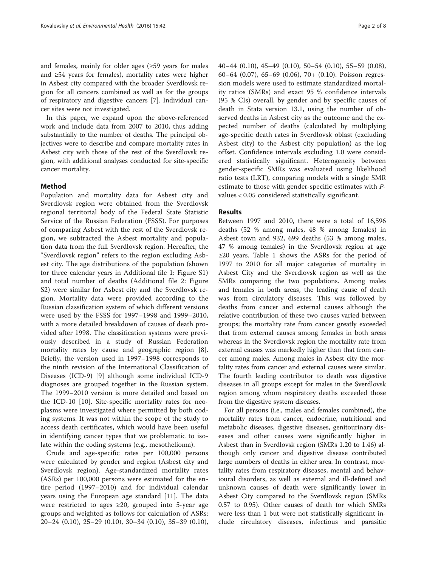and females, mainly for older ages (≥59 years for males and ≥54 years for females), mortality rates were higher in Asbest city compared with the broader Sverdlovsk region for all cancers combined as well as for the groups of respiratory and digestive cancers [\[7](#page-6-0)]. Individual cancer sites were not investigated.

In this paper, we expand upon the above-referenced work and include data from 2007 to 2010, thus adding substantially to the number of deaths. The principal objectives were to describe and compare mortality rates in Asbest city with those of the rest of the Sverdlovsk region, with additional analyses conducted for site-specific cancer mortality.

#### Method

Population and mortality data for Asbest city and Sverdlovsk region were obtained from the Sverdlovsk regional territorial body of the Federal State Statistic Service of the Russian Federation (FSSS). For purposes of comparing Asbest with the rest of the Sverdlovsk region, we subtracted the Asbest mortality and population data from the full Sverdlovsk region. Hereafter, the "Sverdlovsk region" refers to the region excluding Asbest city. The age distributions of the population (shown for three calendar years in Additional file [1:](#page-6-0) Figure S1) and total number of deaths (Additional file [2](#page-6-0): Figure S2) were similar for Asbest city and the Sverdlovsk region. Mortality data were provided according to the Russian classification system of which different versions were used by the FSSS for 1997–1998 and 1999–2010, with a more detailed breakdown of causes of death provided after 1998. The classification systems were previously described in a study of Russian Federation mortality rates by cause and geographic region [\[8](#page-6-0)]. Briefly, the version used in 1997–1998 corresponds to the ninth revision of the International Classification of Diseases (ICD-9) [\[9](#page-6-0)] although some individual ICD-9 diagnoses are grouped together in the Russian system. The 1999–2010 version is more detailed and based on the ICD-10 [\[10](#page-6-0)]. Site-specific mortality rates for neoplasms were investigated where permitted by both coding systems. It was not within the scope of the study to access death certificates, which would have been useful in identifying cancer types that we problematic to isolate within the coding systems (e.g., mesothelioma).

Crude and age-specific rates per 100,000 persons were calculated by gender and region (Asbest city and Sverdlovsk region). Age-standardized mortality rates (ASRs) per 100,000 persons were estimated for the entire period (1997–2010) and for individual calendar years using the European age standard [\[11](#page-6-0)]. The data were restricted to ages ≥20, grouped into 5-year age groups and weighted as follows for calculation of ASRs: 20–24 (0.10), 25–29 (0.10), 30–34 (0.10), 35–39 (0.10), 40–44 (0.10), 45–49 (0.10), 50–54 (0.10), 55–59 (0.08), 60–64 (0.07), 65–69 (0.06), 70+ (0.10). Poisson regression models were used to estimate standardized mortality ratios (SMRs) and exact 95 % confidence intervals (95 % CIs) overall, by gender and by specific causes of death in Stata version 13.1, using the number of observed deaths in Asbest city as the outcome and the expected number of deaths (calculated by multiplying age-specific death rates in Sverdlovsk oblast (excluding Asbest city) to the Asbest city population) as the log offset. Confidence intervals excluding 1.0 were considered statistically significant. Heterogeneity between gender-specific SMRs was evaluated using likelihood ratio tests (LRT), comparing models with a single SMR estimate to those with gender-specific estimates with Pvalues < 0.05 considered statistically significant.

#### Results

Between 1997 and 2010, there were a total of 16,596 deaths (52 % among males, 48 % among females) in Asbest town and 932, 699 deaths (53 % among males, 47 % among females) in the Sverdlovsk region at age ≥20 years. Table [1](#page-2-0) shows the ASRs for the period of 1997 to 2010 for all major categories of mortality in Asbest City and the Sverdlovsk region as well as the SMRs comparing the two populations. Among males and females in both areas, the leading cause of death was from circulatory diseases. This was followed by deaths from cancer and external causes although the relative contribution of these two causes varied between groups; the mortality rate from cancer greatly exceeded that from external causes among females in both areas whereas in the Sverdlovsk region the mortality rate from external causes was markedly higher than that from cancer among males. Among males in Asbest city the mortality rates from cancer and external causes were similar. The fourth leading contributor to death was digestive diseases in all groups except for males in the Sverdlovsk region among whom respiratory deaths exceeded those from the digestive system diseases.

For all persons (i.e., males and females combined), the mortality rates from cancer, endocrine, nutritional and metabolic diseases, digestive diseases, genitourinary diseases and other causes were significantly higher in Asbest than in Sverdlovsk region (SMRs 1.20 to 1.46) although only cancer and digestive disease contributed large numbers of deaths in either area. In contrast, mortality rates from respiratory diseases, mental and behavioural disorders, as well as external and ill-defined and unknown causes of death were significantly lower in Asbest City compared to the Sverdlovsk region (SMRs 0.57 to 0.95). Other causes of death for which SMRs were less than 1 but were not statistically significant include circulatory diseases, infectious and parasitic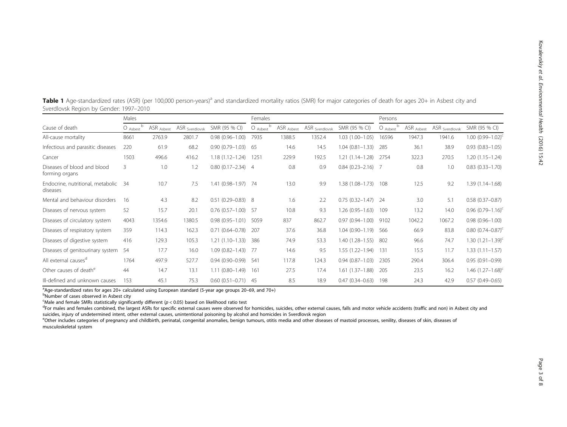| Sverdlovsk Region by Gender: 1997–2010        |            |            |                           |                        |            |            |                           |                          |            |            |                           |                          |  |
|-----------------------------------------------|------------|------------|---------------------------|------------------------|------------|------------|---------------------------|--------------------------|------------|------------|---------------------------|--------------------------|--|
|                                               | Males      |            |                           |                        | Females    |            |                           |                          | Persons    |            |                           |                          |  |
| Cause of death                                | $O$ Asbest | ASR Asbest | ASR <sub>Sverdlovsk</sub> | SMR (95 % CI)          | $O$ Asbest | ASR Asbest | ASR <sub>Sverdlovsk</sub> | SMR (95 % CI)            | $O$ Asbest | ASR Asbest | ASR <sub>Sverdlovsk</sub> | SMR (95 % CI)            |  |
| All-cause mortality                           | 8661       | 2763.9     | 2801.7                    | $0.98(0.96 - 1.00)$    | 7935       | 1388.5     | 1352.4                    | $1.03(1.00 - 1.05)$      | 16596      | 1947.3     | 1941.6                    | $1.00 (0.99 - 1.02)^{c}$ |  |
| Infectious and parasitic diseases             | 220        | 61.9       | 68.2                      | $0.90(0.79 - 1.03)$    | - 65       | 14.6       | 14.5                      | $1.04(0.81 - 1.33)$      | 285        | 36.1       | 38.9                      | $0.93(0.83 - 1.05)$      |  |
| Cancer                                        | 1503       | 496.6      | 416.2                     | $1.18(1.12 - 1.24)$    | 1251       | 229.9      | 192.5                     | $1.21(1.14 - 1.28)$      | 2754       | 322.3      | 270.5                     | $1.20(1.15 - 1.24)$      |  |
| Diseases of blood and blood<br>forming organs | 3          | 1.0        | 1.2                       | $0.80(0.17 - 2.34)$ 4  |            | 0.8        | 0.9                       | $0.84$ $(0.23 - 2.16)$ 7 |            | 0.8        | 1.0                       | $0.83(0.33 - 1.70)$      |  |
| Endocrine, nutritional, metabolic<br>diseases | -34        | 10.7       | 7.5                       | 1.41 (0.98-1.97) 74    |            | 13.0       | 9.9                       | $1.38(1.08 - 1.73)$      | 108        | 12.5       | 9.2                       | $1.39(1.14 - 1.68)$      |  |
| Mental and behaviour disorders                | 16         | 4.3        | 8.2                       | $0.51(0.29 - 0.83)$ 8  |            | 1.6        | 2.2                       | $0.75(0.32 - 1.47)$      | 24         | 3.0        | 5.1                       | $0.58(0.37 - 0.87)$      |  |
| Diseases of nervous system                    | 52         | 15.7       | 20.1                      | $0.76(0.57 - 1.00)$    | - 57       | 10.8       | 9.3                       | $1.26(0.95 - 1.63)$      | 109        | 13.2       | 14.0                      | $0.96$ $(0.79-1.16)^c$   |  |
| Diseases of circulatory system                | 4043       | 1354.6     | 1380.5                    | $0.98(0.95 - 1.01)$    | 5059       | 837        | 862.7                     | $0.97(0.94 - 1.00)$      | 9102       | 1042.2     | 1067.2                    | $0.98(0.96 - 1.00)$      |  |
| Diseases of respiratory system                | 359        | 114.3      | 162.3                     | $0.71(0.64 - 0.78)$    | 207        | 37.6       | 36.8                      | $1.04(0.90 - 1.19)$      | 566        | 66.9       | 83.8                      | $0.80~(0.74 - 0.87)^c$   |  |
| Diseases of digestive system                  | 416        | 129.3      | 105.3                     | $1.21(1.10-1.33)$      | 386        | 74.9       | 53.3                      | $1.40(1.28 - 1.55)$      | 802        | 96.6       | 74.7                      | 1.30 $(1.21 - 1.39)^{c}$ |  |
| Diseases of genitourinary system              | 54         | 17.7       | 16.0                      | $1.09(0.82 - 1.43)$    | - 77       | 14.6       | 9.5                       | $1.55(1.22 - 1.94)$      | 131        | 15.5       | 11.7                      | $1.33(1.11 - 1.57)$      |  |
| All external causes <sup>d</sup>              | 1764       | 497.9      | 527.7                     | $0.94(0.90 - 0.99)$    | -541       | 117.8      | 124.3                     | $0.94(0.87 - 1.03)$      | 2305       | 290.4      | 306.4                     | $0.95(0.91 - 0.99)$      |  |
| Other causes of death <sup>e</sup>            | 44         | 14.7       | 13.1                      | $1.11(0.80 - 1.49)$    | -161       | 27.5       | 17.4                      | $1.61(1.37-1.88)$        | 205        | 23.5       | 16.2                      | 1.46 $(1.27 - 1.68)^{c}$ |  |
| Ill-defined and unknown causes                | 153        | 45.1       | 75.3                      | $0.60(0.51 - 0.71)$ 45 |            | 8.5        | 18.9                      | $0.47(0.34 - 0.63)$      | 198        | 24.3       | 42.9                      | $0.57(0.49 - 0.65)$      |  |

<span id="page-2-0"></span>Table 1 Age-standardized rates (ASR) (per 100,000 person-years)<sup>a</sup> and standardized mortality ratios (SMR) for major categories of death for ages 20+ in Asbest city and<br>Caralla ul Dacian by Candar 1007, 2010. Sverdlovsk Region by Gender: 1997–2010

<sup>a</sup>Age-standardized rates for ages 20+ calculated using European standard (5-year age groups 20–69, and 70+)<br><sup>b</sup>Number of cases observed in Asbest city

Number of cases observed in Asbest city

<sup>c</sup>Male and female SMRs statistically significantly different ( $p < 0.05$ ) based on likelihood ratio test<sup>dr</sup> or males and females combined, the largest ASRs for specific external causes were observed for

<sup>d</sup>For males and females combined, the largest ASRs for specific external causes were observed for homicides, suicides, other external causes, falls and motor vehicle accidents (traffic and non) in Asbest city and suicides, injury of undetermined intent, other external causes, unintentional poisoning by alcohol and homicides in Sverdlovsk region

eOther includes categories of pregnancy and childbirth, perinatal, congenital anomalies, benign tumours, otitis media and other diseases of mastoid processes, senility, diseases of skin, diseases of musculoskeletal system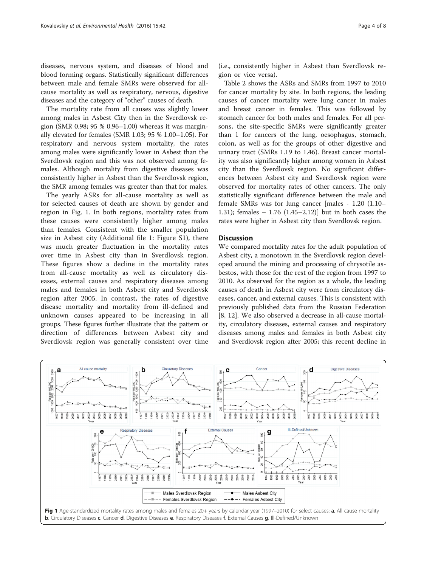<span id="page-3-0"></span>diseases, nervous system, and diseases of blood and blood forming organs. Statistically significant differences between male and female SMRs were observed for allcause mortality as well as respiratory, nervous, digestive diseases and the category of "other" causes of death.

The mortality rate from all causes was slightly lower among males in Asbest City then in the Sverdlovsk region (SMR 0.98; 95 % 0.96–1.00) whereas it was marginally elevated for females (SMR 1.03; 95 % 1.00–1.05). For respiratory and nervous system mortality, the rates among males were significantly lower in Asbest than the Sverdlovsk region and this was not observed among females. Although mortality from digestive diseases was consistently higher in Asbest than the Sverdlovsk region, the SMR among females was greater than that for males.

The yearly ASRs for all-cause mortality as well as for selected causes of death are shown by gender and region in Fig. 1. In both regions, mortality rates from these causes were consistently higher among males than females. Consistent with the smaller population size in Asbest city (Additional file [1:](#page-6-0) Figure S1), there was much greater fluctuation in the mortality rates over time in Asbest city than in Sverdlovsk region. These figures show a decline in the mortality rates from all-cause mortality as well as circulatory diseases, external causes and respiratory diseases among males and females in both Asbest city and Sverdlovsk region after 2005. In contrast, the rates of digestive disease mortality and mortality from ill-defined and unknown causes appeared to be increasing in all groups. These figures further illustrate that the pattern or direction of differences between Asbest city and Sverdlovsk region was generally consistent over time (i.e., consistently higher in Asbest than Sverdlovsk region or vice versa).

Table [2](#page-4-0) shows the ASRs and SMRs from 1997 to 2010 for cancer mortality by site. In both regions, the leading causes of cancer mortality were lung cancer in males and breast cancer in females. This was followed by stomach cancer for both males and females. For all persons, the site-specific SMRs were significantly greater than 1 for cancers of the lung, oesophagus, stomach, colon, as well as for the groups of other digestive and urinary tract (SMRs 1.19 to 1.46). Breast cancer mortality was also significantly higher among women in Asbest city than the Sverdlovsk region. No significant differences between Asbest city and Sverdlovsk region were observed for mortality rates of other cancers. The only statistically significant difference between the male and female SMRs was for lung cancer [males - 1.20 (1.10– 1.31); females – 1.76 (1.45–2.12)] but in both cases the rates were higher in Asbest city than Sverdlovsk region.

### **Discussion**

We compared mortality rates for the adult population of Asbest city, a monotown in the Sverdlovsk region developed around the mining and processing of chrysotile asbestos, with those for the rest of the region from 1997 to 2010. As observed for the region as a whole, the leading causes of death in Asbest city were from circulatory diseases, cancer, and external causes. This is consistent with previously published data from the Russian Federation [[8, 12\]](#page-6-0). We also observed a decrease in all-cause mortality, circulatory diseases, external causes and respiratory diseases among males and females in both Asbest city and Sverdlovsk region after 2005; this recent decline in

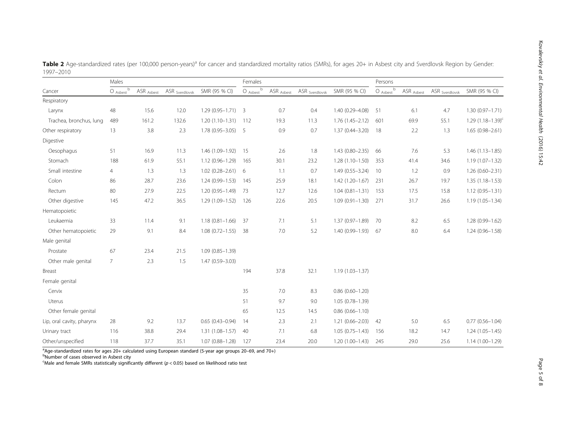<span id="page-4-0"></span>

|                         | Males                              |                       |                           |                        | Females        |                       |                           |                     | Persons        |                       |                           |                          |  |
|-------------------------|------------------------------------|-----------------------|---------------------------|------------------------|----------------|-----------------------|---------------------------|---------------------|----------------|-----------------------|---------------------------|--------------------------|--|
| Cancer                  | b<br>$O$ $_{\text{Asbest}}$ $\sim$ | ASR <sub>Asbest</sub> | ASR <sub>Sverdlovsk</sub> | SMR (95 % CI)          | $O$ Asbest $b$ | ASR <sub>Asbest</sub> | ASR <sub>Sverdlovsk</sub> | SMR (95 % CI)       | $O$ Asbest $b$ | ASR <sub>Asbest</sub> | ASR <sub>Sverdlovsk</sub> | SMR (95 % CI)            |  |
| Respiratory             |                                    |                       |                           |                        |                |                       |                           |                     |                |                       |                           |                          |  |
| Larynx                  | 48                                 | 15.6                  | 12.0                      | $1.29(0.95 - 1.71)$ 3  |                | 0.7                   | 0.4                       | 1.40 (0.29-4.08)    | - 51           | 6.1                   | 4.7                       | $1.30(0.97 - 1.71)$      |  |
| Trachea, bronchus, lung | 489                                | 161.2                 | 132.6                     | $1.20(1.10-1.31)$ 112  |                | 19.3                  | 11.3                      | $1.76(1.45 - 2.12)$ | 601            | 69.9                  | 55.1                      | $1.29$ $(1.18 - 1.39)^c$ |  |
| Other respiratory       | 13                                 | 3.8                   | 2.3                       | $1.78(0.95 - 3.05)$ 5  |                | 0.9                   | 0.7                       | $1.37(0.44 - 3.20)$ | 18             | 2.2                   | 1.3                       | $1.65(0.98 - 2.61)$      |  |
| Digestive               |                                    |                       |                           |                        |                |                       |                           |                     |                |                       |                           |                          |  |
| Oesophagus              | 51                                 | 16.9                  | 11.3                      | 1.46 (1.09-1.92) 15    |                | 2.6                   | 1.8                       | $1.43(0.80 - 2.35)$ | 66             | 7.6                   | 5.3                       | $1.46(1.13 - 1.85)$      |  |
| Stomach                 | 188                                | 61.9                  | 55.1                      | $1.12(0.96 - 1.29)$    | 165            | 30.1                  | 23.2                      | $1.28(1.10-1.50)$   | 353            | 41.4                  | 34.6                      | $1.19(1.07 - 1.32)$      |  |
| Small intestine         | 4                                  | 1.3                   | 1.3                       | $1.02(0.28 - 2.61)$ 6  |                | 1.1                   | 0.7                       | $1.49(0.55 - 3.24)$ | - 10           | 1.2                   | 0.9                       | $1.26(0.60 - 2.31)$      |  |
| Colon                   | 86                                 | 28.7                  | 23.6                      | $1.24(0.99 - 1.53)$    | 145            | 25.9                  | 18.1                      | $1.42(1.20 - 1.67)$ | 231            | 26.7                  | 19.7                      | $1.35(1.18 - 1.53)$      |  |
| Rectum                  | 80                                 | 27.9                  | 22.5                      | $1.20(0.95 - 1.49)$ 73 |                | 12.7                  | 12.6                      | $1.04(0.81 - 1.31)$ | 153            | 17.5                  | 15.8                      | $1.12(0.95 - 1.31)$      |  |
| Other digestive         | 145                                | 47.2                  | 36.5                      | 1.29 (1.09-1.52)       | 126            | 22.6                  | 20.5                      | $1.09(0.91 - 1.30)$ | 271            | 31.7                  | 26.6                      | $1.19(1.05 - 1.34)$      |  |

|           | Table 2 Age-standardized rates (per 100,000 person-years) <sup>a</sup> for cancer and standardized mortality ratios (SMRs), for ages 20+ in Asbest city and Sverdlovsk Region by Gender: |  |  |  |
|-----------|------------------------------------------------------------------------------------------------------------------------------------------------------------------------------------------|--|--|--|
| 1997-2010 |                                                                                                                                                                                          |  |  |  |

Leukaemia 33 11.4 9.1 1.18 (0.81–1.66) 37 7.1 5.1 1.37 (0.97–1.89) 70 8.2 6.5 1.28 (0.99–1.62) Other hematopoietic 29 9.1 8.4 1.08 (0.72–1.55) 38 7.0 5.2 1.40 (0.99–1.93) 67 8.0 6.4 1.24 (0.96–1.58)

Lip, oral cavity, pharynx 28 9.2 13.7 0.65 (0.43–0.94) 14 2.3 2.1 1.21 (0.66–2.03) 42 5.0 6.5 0.77 (0.56–1.04)

|                   |     |      |                          | . |                                                                                          |  |  |
|-------------------|-----|------|--------------------------|---|------------------------------------------------------------------------------------------|--|--|
| Other/unspecified | 118 |      |                          |   | 37.7 35.1 1.07 (0.88–1.28) 127 23.4 20.0 1.20 (1.00–1.43) 245 29.0 25.6 1.14 (1.00–1.29) |  |  |
| Urinary tract     |     | 38.8 | 29.4 1.31 (1.08–1.57) 40 |   | 7.1 6.8 1.05 (0.75–1.43) 156 18.2 14.7 1.24 (1.05–1.45)                                  |  |  |

Breast 194 37.8 32.1 1.19 (1.03–1.37)

Cervix 35 7.0 8.3 0.86 (0.60–1.20) Uterus 51 9.7 9.0 1.05 (0.78–1.39) Other female genital 65 12.5 14.5 0.86 (0.66–1.10)

<sup>a</sup>Age-standardized rates for ages 20+ calculated using European standard (5-year age groups 20–69, and 70+)<br><sup>b</sup>Number of cases observed in Asbest sity

Number of cases observed in Asbest city

Digestive

Hematopoietic

Male genital

Female genital

 $\epsilon$ Male and female SMRs statistically significantly different ( $p < 0.05$ ) based on likelihood ratio test

Prostate 67 23.4 21.5 1.09 (0.85–1.39) Other male genital  $\overline{7}$  2.3 1.5 1.47 (0.59–3.03)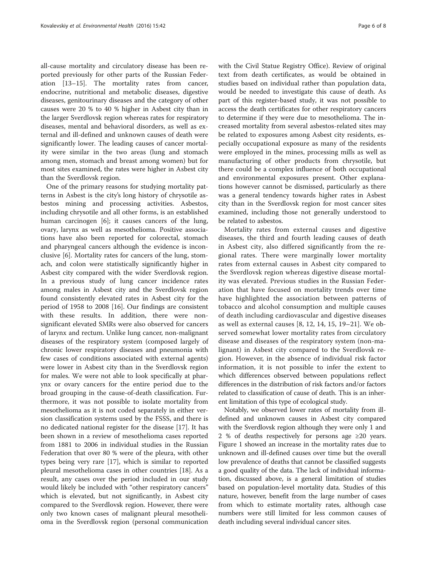all-cause mortality and circulatory disease has been reported previously for other parts of the Russian Federation [\[13](#page-6-0)–[15\]](#page-6-0). The mortality rates from cancer, endocrine, nutritional and metabolic diseases, digestive diseases, genitourinary diseases and the category of other causes were 20 % to 40 % higher in Asbest city than in the larger Sverdlovsk region whereas rates for respiratory diseases, mental and behavioral disorders, as well as external and ill-defined and unknown causes of death were significantly lower. The leading causes of cancer mortality were similar in the two areas (lung and stomach among men, stomach and breast among women) but for most sites examined, the rates were higher in Asbest city than the Sverdlovsk region.

One of the primary reasons for studying mortality patterns in Asbest is the city's long history of chrysotile asbestos mining and processing activities. Asbestos, including chrysotile and all other forms, is an established human carcinogen [[6\]](#page-6-0); it causes cancers of the lung, ovary, larynx as well as mesothelioma. Positive associations have also been reported for colorectal, stomach and pharyngeal cancers although the evidence is inconclusive [\[6](#page-6-0)]. Mortality rates for cancers of the lung, stomach, and colon were statistically significantly higher in Asbest city compared with the wider Sverdlovsk region. In a previous study of lung cancer incidence rates among males in Asbest city and the Sverdlovsk region found consistently elevated rates in Asbest city for the period of 1958 to 2008 [[16\]](#page-6-0). Our findings are consistent with these results. In addition, there were nonsignificant elevated SMRs were also observed for cancers of larynx and rectum. Unlike lung cancer, non-malignant diseases of the respiratory system (composed largely of chronic lower respiratory diseases and pneumonia with few cases of conditions associated with external agents) were lower in Asbest city than in the Sverdlovsk region for males. We were not able to look specifically at pharynx or ovary cancers for the entire period due to the broad grouping in the cause-of-death classification. Furthermore, it was not possible to isolate mortality from mesothelioma as it is not coded separately in either version classification systems used by the FSSS, and there is no dedicated national register for the disease [[17\]](#page-6-0). It has been shown in a review of mesothelioma cases reported from 1881 to 2006 in individual studies in the Russian Federation that over 80 % were of the pleura, with other types being very rare [[17\]](#page-6-0), which is similar to reported pleural mesothelioma cases in other countries [\[18](#page-6-0)]. As a result, any cases over the period included in our study would likely be included with "other respiratory cancers" which is elevated, but not significantly, in Asbest city compared to the Sverdlovsk region. However, there were only two known cases of malignant pleural mesothelioma in the Sverdlovsk region (personal communication with the Civil Statue Registry Office). Review of original text from death certificates, as would be obtained in studies based on individual rather than population data, would be needed to investigate this cause of death. As part of this register-based study, it was not possible to access the death certificates for other respiratory cancers to determine if they were due to mesothelioma. The increased mortality from several asbestos-related sites may be related to exposures among Asbest city residents, especially occupational exposure as many of the residents were employed in the mines, processing mills as well as manufacturing of other products from chrysotile, but there could be a complex influence of both occupational and environmental exposures present. Other explanations however cannot be dismissed, particularly as there was a general tendency towards higher rates in Asbest city than in the Sverdlovsk region for most cancer sites examined, including those not generally understood to be related to asbestos.

Mortality rates from external causes and digestive diseases, the third and fourth leading causes of death in Asbest city, also differed significantly from the regional rates. There were marginally lower mortality rates from external causes in Asbest city compared to the Sverdlovsk region whereas digestive disease mortality was elevated. Previous studies in the Russian Federation that have focused on mortality trends over time have highlighted the association between patterns of tobacco and alcohol consumption and multiple causes of death including cardiovascular and digestive diseases as well as external causes [[8, 12](#page-6-0), [14](#page-6-0), [15](#page-6-0), [19](#page-6-0)–[21\]](#page-6-0). We observed somewhat lower mortality rates from circulatory disease and diseases of the respiratory system (non-malignant) in Asbest city compared to the Sverdlovsk region. However, in the absence of individual risk factor information, it is not possible to infer the extent to which differences observed between populations reflect differences in the distribution of risk factors and/or factors related to classification of cause of death. This is an inherent limitation of this type of ecological study.

Notably, we observed lower rates of mortality from illdefined and unknown causes in Asbest city compared with the Sverdlovsk region although they were only 1 and 2 % of deaths respectively for persons age ≥20 years. Figure [1](#page-3-0) showed an increase in the mortality rates due to unknown and ill-defined causes over time but the overall low prevalence of deaths that cannot be classified suggests a good quality of the data. The lack of individual information, discussed above, is a general limitation of studies based on population-level mortality data. Studies of this nature, however, benefit from the large number of cases from which to estimate mortality rates, although case numbers were still limited for less common causes of death including several individual cancer sites.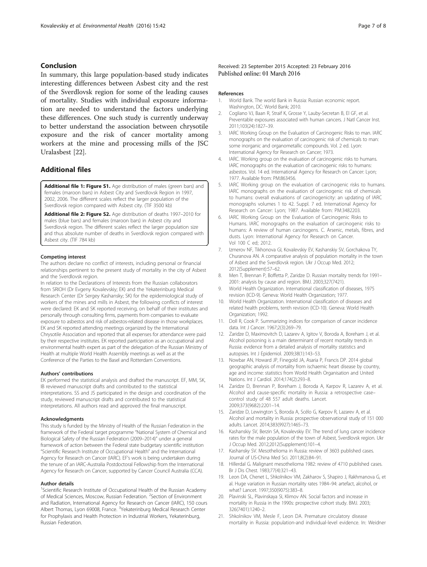## <span id="page-6-0"></span>Conclusion

In summary, this large population-based study indicates interesting differences between Asbest city and the rest of the Sverdlovsk region for some of the leading causes of mortality. Studies with individual exposure information are needed to understand the factors underlying these differences. One such study is currently underway to better understand the association between chrysotile exposure and the risk of cancer mortality among workers at the mine and processing mills of the JSC Uralasbest [\[22](#page--1-0)].

## Additional files

[Additional file 1: Figure S1.](dx.doi.org/10.1186/s12940-016-0125-0) Age distribution of males (green bars) and females (maroon bars) in Asbest City and Sverdlovsk Region in 1997, 2002, 2006. The different scales reflect the larger population of the Sverdlovsk region compared with Asbest city. (TIF 3500 kb)

[Additional file 2: Figure S2.](dx.doi.org/10.1186/s12940-016-0125-0) Age distribution of deaths 1997-2010 for males (blue bars) and females (maroon bars) in Asbest city and Sverdlovsk region. The different scales reflect the larger population size and thus absolute number of deaths in Sverdlovsk region compared with Asbest city. (TIF 784 kb)

#### Competing interest

The authors declare no conflict of interests, including personal or financial relationships pertinent to the present study of mortality in the city of Asbest and the Sverdlovsk region.

In relation to the Declarations of Interests from the Russian collaborators from SRIOH (Dr Evgeny Kovalevskiy; EK) and the Yekaterinburg Medical Research Center (Dr Sergey Kashansky; SK) for the epidemiological study of workers of the mines and mills in Asbest, the following conflicts of interest were declared: EK and SK reported receiving, on behalf of their institutes and personally through consulting firms, payments from companies to evaluate exposure to asbestos and risk of asbestos-related disease in those workplaces. EK and SK reported attending meetings organized by the International Chrysotile Association and reported that all expenses for attendance were paid by their respective institutes. EK reported participation as an occupational and environmental health expert as part of the delegation of the Russian Ministry of Health at multiple World Health Assembly meetings as well as at the Conference of the Parties to the Basel and Rotterdam Conventions.

#### Authors' contributions

EK performed the statistical analysis and drafted the manuscript. EF, MM, SK, IB reviewed manuscript drafts and contributed to the statistical interpretations. SS and JS participated in the design and coordination of the study, reviewed manuscript drafts and contributed to the statistical interpretations. All authors read and approved the final manuscript.

#### Acknowledgments

This study is funded by the Ministry of Health of the Russian Federation in the framework of the Federal target programme "National System of Chemical and Biological Safety of the Russian Federation (2009–2014)" under a general framework of action between the Federal state budgetary scientific institution "Scientific Research Institute of Occupational Health" and the International Agency for Research on Cancer (IARC). EF's work is being undertaken during the tenure of an IARC-Australia Postdoctoral Fellowship from the International Agency for Research on Cancer, supported by Cancer Council Australia (CCA).

#### Author details

<sup>1</sup>Scientific Research Institute of Occupational Health of the Russian Academy of Medical Sciences, Moscow, Russian Federation. <sup>2</sup> Section of Environment and Radiation, International Agency for Research on Cancer (IARC), 150 cours<br>Albert Thomas, Lyon 69008, France. <sup>3</sup>Yekaterinburg Medical Research Center for Prophylaxis and Health Protection in Industrial Workers, Yekaterinburg, Russian Federation.

Received: 23 September 2015 Accepted: 23 February 2016 Published online: 01 March 2016

#### References

- 1. World Bank. The world Bank in Russia: Russian economic report. Washington, DC: World Bank; 2010.
- 2. Cogliano VJ, Baan R, Straif K, Grosse Y, Lauby-Secretan B, El GF, et al. Preventable exposures associated with human cancers. J Natl Cancer Inst. 2011;103(24):1827–39.
- 3. IARC Working Group on the Evaluation of Carcinogenic Risks to man. IARC monographs on the evaluation of carcinogenic risk of chemicals to man: some inorganic and organometallic compounds. Vol. 2 ed. Lyon: International Agency for Research on Cancer; 1973.
- 4. IARC. Working group on the evaluation of carcinogenic risks to humans. IARC monographs on the evaluation of carcinogenic risks to humans: asbestos. Vol. 14 ed. International Agency for Research on Cancer: Lyon; 1977. Available from: PM:863456.
- 5. IARC Working group on the evaluation of carcinogenic risks to humans. IARC monographs on the evaluation of carcinogenic risk of chemicals to humans: overall evaluations of carcinogenicity: an updating of IARC monographs volumes 1 to 42. Suppl. 7 ed. International Agency for Research on Cancer: Lyon; 1987. Available from: PM:3482203.
- 6. IARC Working Group on the Evaluation of Carcinogenic Risks to Humans. IARC monographs on the evaluation of carcinogenic risks to humans: A review of human carcinogens. C. Arsenic, metals, fibres, and dusts. Lyon: International Agency for Research on Cancer. Vol 100 C ed; 2012.
- 7. Izmerov NF, Tikhonova GI, Kovalevskiy EV, Kashanskiy SV, Gorchakova TY, Churanova AN. A comparative analysis of population mortality in the town of Asbest and the Sverdlovsk region. Ukr J Occup Med. 2012; 2012(Supplement):57–62.
- 8. Men T, Brennan P, Boffetta P, Zaridze D. Russian mortality trends for 1991– 2001: analysis by cause and region. BMJ. 2003;327(7421).
- 9. World Health Organization. International classification of diseases, 1975 revision (ICD-9). Geneva: World Health Organization; 1977.
- 10. World Health Organization. International classification of diseases and related health problems, tenth revision (ICD-10). Geneva: World Health Organization; 1992.
- 11. Doll R, Cook P. Summarizing indices for comparison of cancer incidence data. Int J Cancer. 1967;2(3):269–79.
- 12. Zaridze D, Maximovitch D, Lazarev A, Igitov V, Boroda A, Boreham J, et al. Alcohol poisoning is a main determinant of recent mortality trends in Russia: evidence from a detailed analysis of mortality statistics and autopsies. Int J Epidemiol. 2009;38(1):143–53.
- 13. Nowbar AN, Howard JP, Finegold JA, Asaria P, Francis DP. 2014 global geographic analysis of mortality from ischaemic heart disease by country, age and income: statistics from World Health Organisation and United Nations. Int J Cardiol. 2014;174(2):293–8.
- 14. Zaridze D, Brennan P, Boreham J, Boroda A, Karpov R, Lazarev A, et al. Alcohol and cause-specific mortality in Russia: a retrospective case– control study of 48 557 adult deaths. Lancet. 2009;373(9682):2201–14.
- 15. Zaridze D, Lewington S, Boroda A, Scélo G, Karpov R, Lazarev A, et al. Alcohol and mortality in Russia: prospective observational study of 151 000 adults. Lancet. 2014;383(9927):1465–73.
- 16. Kashanskiy SV, Berzin SA, Kovalevskiy EV. The trend of lung cancer incidence rates for the male population of the town of Asbest, Sverdlovsk region. Ukr J Occup Med. 2012;2012(Supplement):101–4.
- 17. Kashansky SV. Mesothelioma in Russia: review of 3603 published cases. Journal of US-China Med Sci. 2011;8(2):84–91.
- 18. Hillerdal G. Malignant mesothelioma 1982: review of 4710 published cases. Br J Dis Chest. 1983;77(4):321–43.
- 19. Leon DA, Chenet L, Shkolnikov VM, Zakharov S, Shapiro J, Rakhmanova G, et al. Huge variation in Russian mortality rates 1984–94: artefact, alcohol, or what? Lancet. 1997;350(9075):383–8.
- 20. Plavinski SL, Plavinskaya SI, Klimov AN. Social factors and increase in mortality in Russia in the 1990s: prospective cohort study. BMJ. 2003; 326(7401):1240–2.
- 21. Shkolnikov VM, Mesle F, Leon DA. Premature circulatory disease mortality in Russia: population-and individual-level evidence. In: Weidner